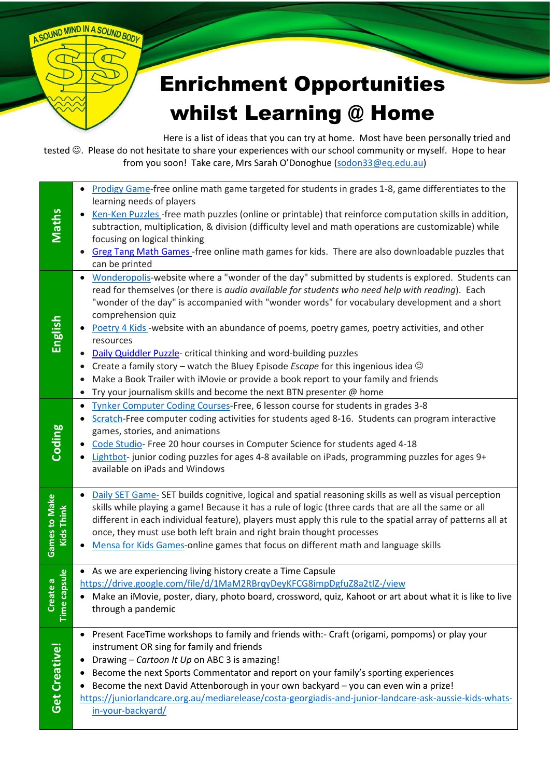## Enrichment Opportunities whilst Learning @ Home

Here is a list of ideas that you can try at home. Most have been personally tried and tested  $\odot$ . Please do not hesitate to share your experiences with our school community or myself. Hope to hear from you soon! Take care, Mrs Sarah O'Donoghue [\(sodon33@eq.edu.au\)](mailto:sodon33@eq.edu.au)

A SOUND MIND IN A SOUND BODY

|                                    | Prodigy Game-free online math game targeted for students in grades 1-8, game differentiates to the<br>$\bullet$                                                                                                                                                                                                                                                                                                                                                                                                                                                                                                                                                                                         |
|------------------------------------|---------------------------------------------------------------------------------------------------------------------------------------------------------------------------------------------------------------------------------------------------------------------------------------------------------------------------------------------------------------------------------------------------------------------------------------------------------------------------------------------------------------------------------------------------------------------------------------------------------------------------------------------------------------------------------------------------------|
| <b>Maths</b>                       | learning needs of players<br>Ken-Ken Puzzles - free math puzzles (online or printable) that reinforce computation skills in addition,<br>subtraction, multiplication, & division (difficulty level and math operations are customizable) while<br>focusing on logical thinking<br>Greg Tang Math Games - free online math games for kids. There are also downloadable puzzles that                                                                                                                                                                                                                                                                                                                      |
|                                    | can be printed                                                                                                                                                                                                                                                                                                                                                                                                                                                                                                                                                                                                                                                                                          |
| English                            | Wonderopolis-website where a "wonder of the day" submitted by students is explored. Students can<br>read for themselves (or there is audio available for students who need help with reading). Each<br>"wonder of the day" is accompanied with "wonder words" for vocabulary development and a short<br>comprehension quiz<br>• Poetry 4 Kids-website with an abundance of poems, poetry games, poetry activities, and other<br>resources<br>Daily Quiddler Puzzle- critical thinking and word-building puzzles<br>Create a family story – watch the Bluey Episode <i>Escape</i> for this ingenious idea $\odot$<br>Make a Book Trailer with iMovie or provide a book report to your family and friends |
|                                    | Try your journalism skills and become the next BTN presenter @ home                                                                                                                                                                                                                                                                                                                                                                                                                                                                                                                                                                                                                                     |
| Coding                             | Tynker Computer Coding Courses-Free, 6 lesson course for students in grades 3-8<br>$\bullet$<br>Scratch-Free computer coding activities for students aged 8-16. Students can program interactive<br>games, stories, and animations<br>Code Studio-Free 20 hour courses in Computer Science for students aged 4-18<br>Lightbot-junior coding puzzles for ages 4-8 available on iPads, programming puzzles for ages 9+<br>available on iPads and Windows                                                                                                                                                                                                                                                  |
| <b>Games to Make</b><br>Kids Think | Daily SET Game- SET builds cognitive, logical and spatial reasoning skills as well as visual perception<br>skills while playing a game! Because it has a rule of logic (three cards that are all the same or all<br>different in each individual feature), players must apply this rule to the spatial array of patterns all at<br>once, they must use both left brain and right brain thought processes<br>Mensa for Kids Games-online games that focus on different math and language skills                                                                                                                                                                                                          |
|                                    | • As we are experiencing living history create a Time Capsule                                                                                                                                                                                                                                                                                                                                                                                                                                                                                                                                                                                                                                           |
| apsule<br>te a<br>Time ca<br>Creat | https://drive.google.com/file/d/1MaM2RBrqyDeyKFCG8impDgfuZ8a2tIZ-/view<br>Make an iMovie, poster, diary, photo board, crossword, quiz, Kahoot or art about what it is like to live<br>through a pandemic                                                                                                                                                                                                                                                                                                                                                                                                                                                                                                |
| Get Creative!                      | Present FaceTime workshops to family and friends with:- Craft (origami, pompoms) or play your<br>instrument OR sing for family and friends<br>Drawing - Cartoon It Up on ABC 3 is amazing!<br>Become the next Sports Commentator and report on your family's sporting experiences<br>Become the next David Attenborough in your own backyard - you can even win a prize!<br>https://juniorlandcare.org.au/mediarelease/costa-georgiadis-and-junior-landcare-ask-aussie-kids-whats-<br>in-your-backyard/                                                                                                                                                                                                 |